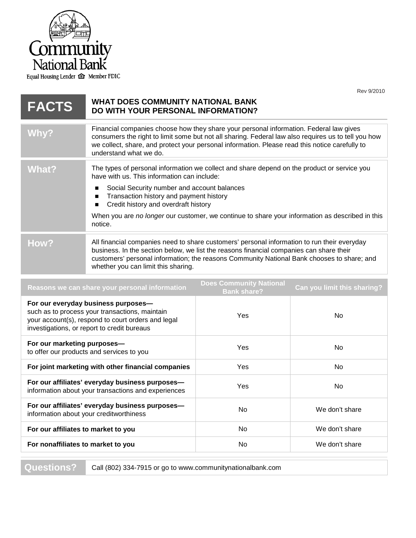

Equal Housing Lender <a> **Member FDIC** 

|              | טו טגיש טאו                                                                                                                                                                                                                                                                                                                                                                                                            |  |
|--------------|------------------------------------------------------------------------------------------------------------------------------------------------------------------------------------------------------------------------------------------------------------------------------------------------------------------------------------------------------------------------------------------------------------------------|--|
| <b>FACTS</b> | <b>WHAT DOES COMMUNITY NATIONAL BANK</b><br>DO WITH YOUR PERSONAL INFORMATION?                                                                                                                                                                                                                                                                                                                                         |  |
| Why?         | Financial companies choose how they share your personal information. Federal law gives<br>consumers the right to limit some but not all sharing. Federal law also requires us to tell you how<br>we collect, share, and protect your personal information. Please read this notice carefully to<br>understand what we do.                                                                                              |  |
| <b>What?</b> | The types of personal information we collect and share depend on the product or service you<br>have with us. This information can include:<br>Social Security number and account balances<br>$\blacksquare$<br>Transaction history and payment history<br>п<br>Credit history and overdraft history<br>■<br>When you are no longer our customer, we continue to share your information as described in this<br>notice. |  |
| How?         | All financial companies need to share customers' personal information to run their everyday<br>business. In the section below, we list the reasons financial companies can share their<br>customers' personal information; the reasons Community National Bank chooses to share; and<br>whether you can limit this sharing.                                                                                            |  |
|              | <b>Does Community National</b>                                                                                                                                                                                                                                                                                                                                                                                         |  |
|              | Peacons we can share your personal information<br>Can vou limit this sharing?                                                                                                                                                                                                                                                                                                                                          |  |

| Reasons we can share your personal information                                                                                                                                             | <b>Does Community National</b><br><b>Bank share?</b> | Can you limit this sharing? |
|--------------------------------------------------------------------------------------------------------------------------------------------------------------------------------------------|------------------------------------------------------|-----------------------------|
| For our everyday business purposes-<br>such as to process your transactions, maintain<br>your account(s), respond to court orders and legal<br>investigations, or report to credit bureaus | Yes                                                  | No.                         |
| For our marketing purposes-<br>to offer our products and services to you                                                                                                                   | Yes                                                  | No                          |
| For joint marketing with other financial companies                                                                                                                                         | Yes                                                  | No                          |
| For our affiliates' everyday business purposes-<br>information about your transactions and experiences                                                                                     | Yes                                                  | No                          |
| For our affiliates' everyday business purposes-<br>information about your creditworthiness                                                                                                 | No.                                                  | We don't share              |
| For our affiliates to market to you                                                                                                                                                        | No                                                   | We don't share              |
| For nonaffiliates to market to you                                                                                                                                                         | No.                                                  | We don't share              |
|                                                                                                                                                                                            |                                                      |                             |

Questions? Call (802) 334-7915 or go to www.communitynationalbank.com

Rev 9/2010